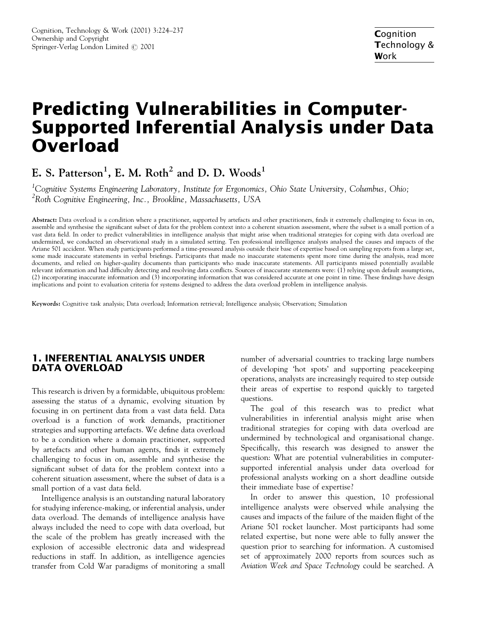# Predicting Vulnerabilities in Computer-Supported Inferential Analysis under Data **Overload**

E. S. Patterson<sup>1</sup>, E. M. Roth<sup>2</sup> and D. D. Woods<sup>1</sup>

<sup>1</sup>Cognitive Systems Engineering Laboratory, Institute for Ergonomics, Ohio State University, Columbus, Ohio; <sup>2</sup>Roth Cognitive Engineering, Inc., Brookline, Massachusetts, USA

Abstract: Data overload is a condition where a practitioner, supported by artefacts and other practitioners, finds it extremely challenging to focus in on, assemble and synthesise the significant subset of data for the problem context into a coherent situation assessment, where the subset is a small portion of a vast data field. In order to predict vulnerabilities in intelligence analysis that might arise when traditional strategies for coping with data overload are undermined, we conducted an observational study in a simulated setting. Ten professional intelligence analysts analysed the causes and impacts of the Ariane 501 accident. When study participants performed a time-pressured analysis outside their base of expertise based on sampling reports from a large set, some made inaccurate statements in verbal briefings. Participants that made no inaccurate statements spent more time during the analysis, read more documents, and relied on higher-quality documents than participants who made inaccurate statements. All participants missed potentially available relevant information and had difficulty detecting and resolving data conflicts. Sources of inaccurate statements were: (1) relying upon default assumptions, (2) incorporating inaccurate information and (3) incorporating information that was considered accurate at one point in time. These findings have design implications and point to evaluation criteria for systems designed to address the data overload problem in intelligence analysis.

Keywords: Cognitive task analysis; Data overload; Information retrieval; Intelligence analysis; Observation; Simulation

# 1. INFERENTIAL ANALYSIS UNDER DATA OVERLOAD

This research is driven by a formidable, ubiquitous problem: assessing the status of a dynamic, evolving situation by focusing in on pertinent data from a vast data field. Data overload is a function of work demands, practitioner strategies and supporting artefacts. We define data overload to be a condition where a domain practitioner, supported by artefacts and other human agents, finds it extremely challenging to focus in on, assemble and synthesise the significant subset of data for the problem context into a coherent situation assessment, where the subset of data is a small portion of a vast data field.

Intelligence analysis is an outstanding natural laboratory for studying inference-making, or inferential analysis, under data overload. The demands of intelligence analysis have always included the need to cope with data overload, but the scale of the problem has greatly increased with the explosion of accessible electronic data and widespread reductions in staff. In addition, as intelligence agencies transfer from Cold War paradigms of monitoring a small number of adversarial countries to tracking large numbers of developing 'hot spots' and supporting peacekeeping operations, analysts are increasingly required to step outside their areas of expertise to respond quickly to targeted questions.

The goal of this research was to predict what vulnerabilities in inferential analysis might arise when traditional strategies for coping with data overload are undermined by technological and organisational change. Specifically, this research was designed to answer the question: What are potential vulnerabilities in computersupported inferential analysis under data overload for professional analysts working on a short deadline outside their immediate base of expertise?

In order to answer this question, 10 professional intelligence analysts were observed while analysing the causes and impacts of the failure of the maiden flight of the Ariane 501 rocket launcher. Most participants had some related expertise, but none were able to fully answer the question prior to searching for information. A customised set of approximately 2000 reports from sources such as Aviation Week and Space Technology could be searched. A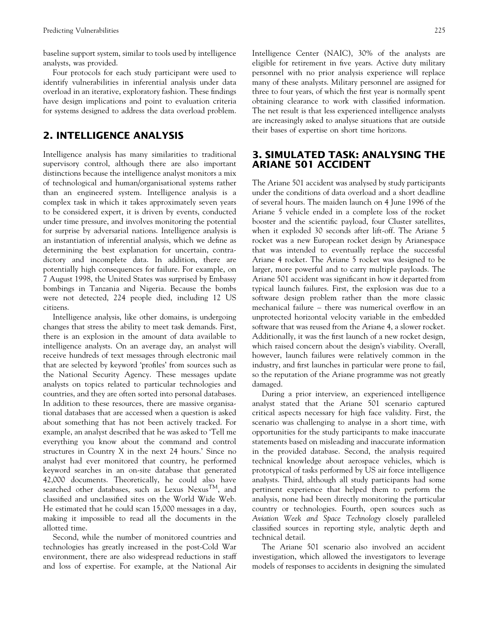baseline support system, similar to tools used by intelligence analysts, was provided.

Four protocols for each study participant were used to identify vulnerabilities in inferential analysis under data overload in an iterative, exploratory fashion. These findings have design implications and point to evaluation criteria for systems designed to address the data overload problem.

# 2. INTELLIGENCE ANALYSIS

Intelligence analysis has many similarities to traditional supervisory control, although there are also important distinctions because the intelligence analyst monitors a mix of technological and human/organisational systems rather than an engineered system. Intelligence analysis is a complex task in which it takes approximately seven years to be considered expert, it is driven by events, conducted under time pressure, and involves monitoring the potential for surprise by adversarial nations. Intelligence analysis is an instantiation of inferential analysis, which we define as determining the best explanation for uncertain, contradictory and incomplete data. In addition, there are potentially high consequences for failure. For example, on 7 August 1998, the United States was surprised by Embassy bombings in Tanzania and Nigeria. Because the bombs were not detected, 224 people died, including 12 US citizens.

Intelligence analysis, like other domains, is undergoing changes that stress the ability to meet task demands. First, there is an explosion in the amount of data available to intelligence analysts. On an average day, an analyst will receive hundreds of text messages through electronic mail that are selected by keyword 'profiles' from sources such as the National Security Agency. These messages update analysts on topics related to particular technologies and countries, and they are often sorted into personal databases. In addition to these resources, there are massive organisational databases that are accessed when a question is asked about something that has not been actively tracked. For example, an analyst described that he was asked to 'Tell me everything you know about the command and control structures in Country X in the next 24 hours.' Since no analyst had ever monitored that country, he performed keyword searches in an on-site database that generated 42,000 documents. Theoretically, he could also have searched other databases, such as Lexus Nexus<sup>TM</sup>, and classified and unclassified sites on the World Wide Web. He estimated that he could scan 15,000 messages in a day, making it impossible to read all the documents in the allotted time.

Second, while the number of monitored countries and technologies has greatly increased in the post-Cold War environment, there are also widespread reductions in staff and loss of expertise. For example, at the National Air

Intelligence Center (NAIC), 30% of the analysts are eligible for retirement in five years. Active duty military personnel with no prior analysis experience will replace many of these analysts. Military personnel are assigned for three to four years, of which the first year is normally spent obtaining clearance to work with classified information. The net result is that less experienced intelligence analysts are increasingly asked to analyse situations that are outside their bases of expertise on short time horizons.

## 3. SIMULATED TASK: ANALYSING THE ARIANE 501 ACCIDENT

The Ariane 501 accident was analysed by study participants under the conditions of data overload and a short deadline of several hours. The maiden launch on 4 June 1996 of the Ariane 5 vehicle ended in a complete loss of the rocket booster and the scientific payload, four Cluster satellites, when it exploded 30 seconds after lift-off. The Ariane 5 rocket was a new European rocket design by Arianespace that was intended to eventually replace the successful Ariane 4 rocket. The Ariane 5 rocket was designed to be larger, more powerful and to carry multiple payloads. The Ariane 501 accident was significant in how it departed from typical launch failures. First, the explosion was due to a software design problem rather than the more classic mechanical failure – there was numerical overflow in an unprotected horizontal velocity variable in the embedded software that was reused from the Ariane 4, a slower rocket. Additionally, it was the first launch of a new rocket design, which raised concern about the design's viability. Overall, however, launch failures were relatively common in the industry, and first launches in particular were prone to fail, so the reputation of the Ariane programme was not greatly damaged.

During a prior interview, an experienced intelligence analyst stated that the Ariane 501 scenario captured critical aspects necessary for high face validity. First, the scenario was challenging to analyse in a short time, with opportunities for the study participants to make inaccurate statements based on misleading and inaccurate information in the provided database. Second, the analysis required technical knowledge about aerospace vehicles, which is prototypical of tasks performed by US air force intelligence analysts. Third, although all study participants had some pertinent experience that helped them to perform the analysis, none had been directly monitoring the particular country or technologies. Fourth, open sources such as Aviation Week and Space Technology closely paralleled classified sources in reporting style, analytic depth and technical detail.

The Ariane 501 scenario also involved an accident investigation, which allowed the investigators to leverage models of responses to accidents in designing the simulated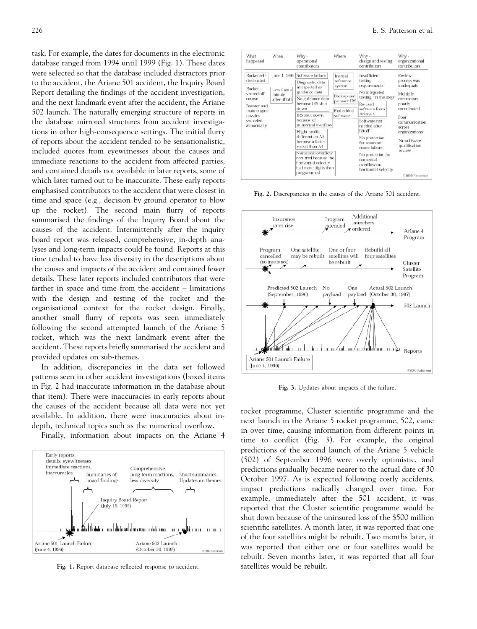task. For example, the dates for documents in the electronic database ranged from 1994 until 1999 (Fig. 1). These dates were selected so that the database included distractors prior to the accident, the Ariane 501 accident, the Inquiry Board Report detailing the findings of the accident investigation, and the next landmark event after the accident, the Ariane 502 launch. The naturally emerging structure of reports in the database mirrored structures from accident investigations in other high-consequence settings. The initial flurry of reports about the accident tended to be sensationalistic, included quotes from eyewitnesses about the causes and immediate reactions to the accident from affected parties, and contained details not available in later reports, some of which later turned out to be inaccurate. These early reports emphasised contributors to the accident that were closest in time and space (e.g., decision by ground operator to blow up the rocket). The second main flurry of reports summarised the findings of the Inquiry Board about the causes of the accident. Intermittently after the inquiry board report was released, comprehensive, in-depth analyses and long-term impacts could be found. Reports at this time tended to have less diversity in the descriptions about the causes and impacts of the accident and contained fewer details. These later reports included contributors that were farther in space and time from the accident – limitations with the design and testing of the rocket and the organisational context for the rocket design. Finally, another small flurry of reports was seen immediately following the second attempted launch of the Ariane 5 rocket, which was the next landmark event after the accident. These reports briefly summarised the accident and provided updates on sub-themes.

In addition, discrepancies in the data set followed patterns seen in other accident investigations (boxed items in Fig. 2 had inaccurate information in the database about that item). There were inaccuracies in early reports about the causes of the accident because all data were not yet available. In addition, there were inaccuracies about indepth, technical topics such as the numerical overflow.

Finally, information about impacts on the Ariane 4



Fig. 1. Report database reflected response to accident. Satellites would be rebuilt.

| What<br>happened                                                                        | When                                                                                                                         | Why-<br>operational<br>contributors                                     | <b>Where</b>                                      | Why-<br>design and testing<br>contributors                           | Why-<br>organizational<br>contributors                                                  |  |
|-----------------------------------------------------------------------------------------|------------------------------------------------------------------------------------------------------------------------------|-------------------------------------------------------------------------|---------------------------------------------------|----------------------------------------------------------------------|-----------------------------------------------------------------------------------------|--|
| Rocket self-<br>June 4, 1996<br>destructed<br>Rocket<br>Less than a                     |                                                                                                                              | Software failure<br>Diagnostic data<br>interpreted as<br>guidance data  | Inertial<br>reference<br>system                   | Insufficient<br>testing<br>requirements<br>No integrated             | Review<br>process was<br>inadequate<br>Multiple<br>contractors<br>poorly<br>coordinated |  |
| veered off<br>course<br>Booster and<br>main engine<br>nozzles<br>swiveled<br>abnormally | minute<br>No guidance data<br>after liftoff<br>because IRS shut<br>down<br>IRS shut down<br>because of<br>numerical overflow | Backup and<br>primary IRS<br>Embedded                                   | testing "in the loop"<br>Re-used<br>software from |                                                                      |                                                                                         |  |
|                                                                                         |                                                                                                                              |                                                                         | software                                          | Ariane 4<br>Software not<br>needed after<br>liftoff                  | Poor<br>communication<br>across                                                         |  |
|                                                                                         |                                                                                                                              | Flight profile<br>different on A5<br>because a faster<br>rocket than A4 |                                                   | No protection<br>for common-<br>mode failure                         | organizations<br>No software<br>qualification                                           |  |
|                                                                                         | Numerical overflow<br>occurred because the<br>horizontal velocity<br>had more digits than<br>programmed                      |                                                                         |                                                   | No protection for<br>numerical<br>overflow on<br>horizontal velocity | review<br>©1999 Patterson                                                               |  |

Fig. 2. Discrepancies in the causes of the Ariane 501 accident.



Fig. 3. Updates about impacts of the failure.

rocket programme, Cluster scientific programme and the next launch in the Ariane 5 rocket programme, 502, came in over time, causing information from different points in time to conflict (Fig. 3). For example, the original predictions of the second launch of the Ariane 5 vehicle (502) of September 1996 were overly optimistic, and predictions gradually became nearer to the actual date of 30 October 1997. As is expected following costly accidents, impact predictions radically changed over time. For example, immediately after the 501 accident, it was reported that the Cluster scientific programme would be shut down because of the uninsured loss of the \$500 million scientific satellites. A month later, it was reported that one of the four satellites might be rebuilt. Two months later, it was reported that either one or four satellites would be rebuilt. Seven months later, it was reported that all four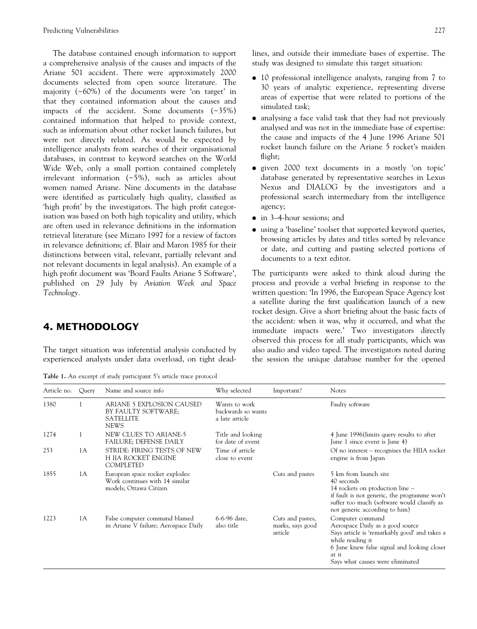The database contained enough information to support a comprehensive analysis of the causes and impacts of the Ariane 501 accident. There were approximately 2000 documents selected from open source literature. The majority (~60%) of the documents were 'on target' in that they contained information about the causes and impacts of the accident. Some documents (~35%) contained information that helped to provide context, such as information about other rocket launch failures, but were not directly related. As would be expected by intelligence analysts from searches of their organisational databases, in contrast to keyword searches on the World Wide Web, only a small portion contained completely irrelevant information (~5%), such as articles about women named Ariane. Nine documents in the database were identified as particularly high quality, classified as 'high profit' by the investigators. The high profit categorisation was based on both high topicality and utility, which are often used in relevance definitions in the information retrieval literature (see Mizzaro 1997 for a review of factors in relevance definitions; cf. Blair and Maron 1985 for their distinctions between vital, relevant, partially relevant and not relevant documents in legal analysis). An example of a high profit document was 'Board Faults Ariane 5 Software', published on 29 July by Aviation Week and Space Technology.

# 4. METHODOLOGY

The target situation was inferential analysis conducted by experienced analysts under data overload, on tight dead-

Table 1. An excerpt of study participant 5's article trace protocol

lines, and outside their immediate bases of expertise. The study was designed to simulate this target situation:

- . 10 professional intelligence analysts, ranging from 7 to 30 years of analytic experience, representing diverse areas of expertise that were related to portions of the simulated task;
- . analysing a face valid task that they had not previously analysed and was not in the immediate base of expertise: the cause and impacts of the 4 June 1996 Ariane 501 rocket launch failure on the Ariane 5 rocket's maiden flight;
- . given 2000 text documents in a mostly 'on topic' database generated by representative searches in Lexus Nexus and DIALOG by the investigators and a professional search intermediary from the intelligence agency;
- . in 3–4-hour sessions; and
- . using a 'baseline' toolset that supported keyword queries, browsing articles by dates and titles sorted by relevance or date, and cutting and pasting selected portions of documents to a text editor.

The participants were asked to think aloud during the process and provide a verbal briefing in response to the written question: 'In 1996, the European Space Agency lost a satellite during the first qualification launch of a new rocket design. Give a short briefing about the basic facts of the accident: when it was, why it occurred, and what the immediate impacts were.' Two investigators directly observed this process for all study participants, which was also audio and video taped. The investigators noted during the session the unique database number for the opened

| Article no. | Query | Name and source info                                                                        | Why selected                                          | Important?                                      | Notes                                                                                                                                                                                                                 |
|-------------|-------|---------------------------------------------------------------------------------------------|-------------------------------------------------------|-------------------------------------------------|-----------------------------------------------------------------------------------------------------------------------------------------------------------------------------------------------------------------------|
| 1380        |       | ARIANE 5 EXPLOSION CAUSED<br>BY FAULTY SOFTWARE;<br><b>SATELLITE</b><br><b>NEWS</b>         | Wants to work<br>backwards so wants<br>a late article |                                                 | Faulty software                                                                                                                                                                                                       |
| 1274        |       | NEW CLUES TO ARIANE-5<br><b>FAILURE; DEFENSE DAILY</b>                                      | Title and looking<br>for date of event                |                                                 | 4 June 1996 (limits query results to after<br>June 1 since event is June 4)                                                                                                                                           |
| 253         | 1A    | STRIDE: FIRING TESTS OF NEW<br>H IIA ROCKET ENGINE<br><b>COMPLETED</b>                      | Time of article<br>close to event                     |                                                 | Of no interest – recognises the HIIA rocket<br>engine is from Japan                                                                                                                                                   |
| 1855        | 1A    | European space rocket explodes:<br>Work continues with 14 similar<br>models; Ottawa Citizen |                                                       | Cuts and pastes                                 | 5 km from launch site<br>40 seconds<br>14 rockets on production line -<br>if fault is not generic, the programme won't<br>suffer too much (software would classify as<br>not generic according to him)                |
| 1223        | 1A    | False computer command blamed<br>in Ariane V failure; Aerospace Daily                       | 6-6-96 date,<br>also title                            | Cuts and pastes,<br>marks, says good<br>article | Computer command<br>Aerospace Daily as a good source<br>Says article is 'remarkably good' and takes a<br>while reading it<br>6 June knew false signal and looking closer<br>at it<br>Says what causes were eliminated |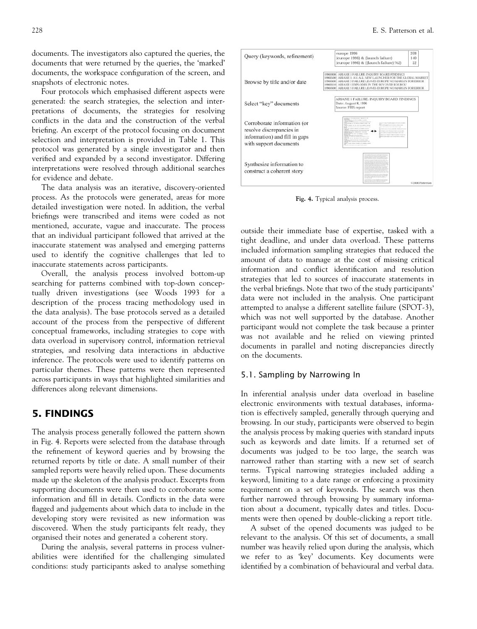documents. The investigators also captured the queries, the documents that were returned by the queries, the 'marked' documents, the workspace configuration of the screen, and snapshots of electronic notes.

Four protocols which emphasised different aspects were generated: the search strategies, the selection and interpretations of documents, the strategies for resolving conflicts in the data and the construction of the verbal briefing. An excerpt of the protocol focusing on document selection and interpretation is provided in Table 1. This protocol was generated by a single investigator and then verified and expanded by a second investigator. Differing interpretations were resolved through additional searches for evidence and debate.

The data analysis was an iterative, discovery-oriented process. As the protocols were generated, areas for more detailed investigation were noted. In addition, the verbal briefings were transcribed and items were coded as not mentioned, accurate, vague and inaccurate. The process that an individual participant followed that arrived at the inaccurate statement was analysed and emerging patterns used to identify the cognitive challenges that led to inaccurate statements across participants.

Overall, the analysis process involved bottom-up searching for patterns combined with top-down conceptually driven investigations (see Woods 1993 for a description of the process tracing methodology used in the data analysis). The base protocols served as a detailed account of the process from the perspective of different conceptual frameworks, including strategies to cope with data overload in supervisory control, information retrieval strategies, and resolving data interactions in abductive inference. The protocols were used to identify patterns on particular themes. These patterns were then represented across participants in ways that highlighted similarities and differences along relevant dimensions.

# 5. FINDINGS

The analysis process generally followed the pattern shown in Fig. 4. Reports were selected from the database through the refinement of keyword queries and by browsing the returned reports by title or date. A small number of their sampled reports were heavily relied upon. These documents made up the skeleton of the analysis product. Excerpts from supporting documents were then used to corroborate some information and fill in details. Conflicts in the data were flagged and judgements about which data to include in the developing story were revisited as new information was discovered. When the study participants felt ready, they organised their notes and generated a coherent story.

During the analysis, several patterns in process vulnerabilities were identified for the challenging simulated conditions: study participants asked to analyse something



Fig. 4. Typical analysis process.

outside their immediate base of expertise, tasked with a tight deadline, and under data overload. These patterns included information sampling strategies that reduced the amount of data to manage at the cost of missing critical information and conflict identification and resolution strategies that led to sources of inaccurate statements in the verbal briefings. Note that two of the study participants' data were not included in the analysis. One participant attempted to analyse a different satellite failure (SPOT-3), which was not well supported by the database. Another participant would not complete the task because a printer was not available and he relied on viewing printed documents in parallel and noting discrepancies directly on the documents.

## 5.1. Sampling by Narrowing In

In inferential analysis under data overload in baseline electronic environments with textual databases, information is effectively sampled, generally through querying and browsing. In our study, participants were observed to begin the analysis process by making queries with standard inputs such as keywords and date limits. If a returned set of documents was judged to be too large, the search was narrowed rather than starting with a new set of search terms. Typical narrowing strategies included adding a keyword, limiting to a date range or enforcing a proximity requirement on a set of keywords. The search was then further narrowed through browsing by summary information about a document, typically dates and titles. Documents were then opened by double-clicking a report title.

A subset of the opened documents was judged to be relevant to the analysis. Of this set of documents, a small number was heavily relied upon during the analysis, which we refer to as 'key' documents. Key documents were identified by a combination of behavioural and verbal data.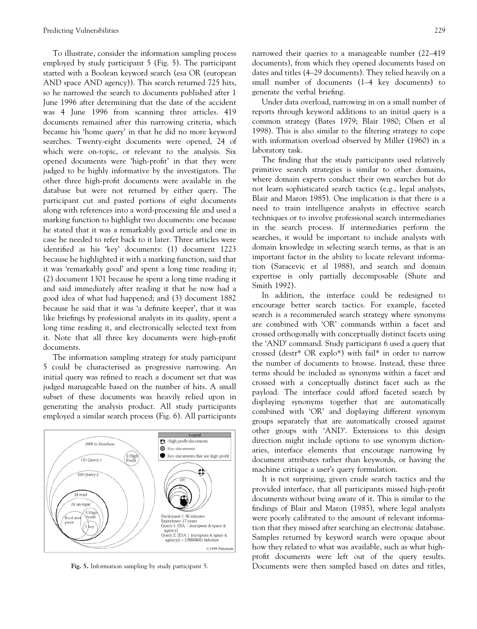To illustrate, consider the information sampling process employed by study participant 5 (Fig. 5). The participant started with a Boolean keyword search (esa OR (european AND space AND agency)). This search returned 725 hits, so he narrowed the search to documents published after 1 June 1996 after determining that the date of the accident was 4 June 1996 from scanning three articles. 419 documents remained after this narrowing criteria, which became his 'home query' in that he did no more keyword searches. Twenty-eight documents were opened, 24 of which were on-topic, or relevant to the analysis. Six opened documents were 'high-profit' in that they were judged to be highly informative by the investigators. The other three high-profit documents were available in the database but were not returned by either query. The participant cut and pasted portions of eight documents along with references into a word-processing file and used a marking function to highlight two documents: one because he stated that it was a remarkably good article and one in case he needed to refer back to it later. Three articles were identified as his 'key' documents: (1) document 1223 because he highlighted it with a marking function, said that it was 'remarkably good' and spent a long time reading it; (2) document 1301 because he spent a long time reading it and said immediately after reading it that he now had a good idea of what had happened; and (3) document 1882 because he said that it was 'a definite keeper', that it was like briefings by professional analysts in its quality, spent a long time reading it, and electronically selected text from it. Note that all three key documents were high-profit documents.

The information sampling strategy for study participant 5 could be characterised as progressive narrowing. An initial query was refined to reach a document set that was judged manageable based on the number of hits. A small subset of these documents was heavily relied upon in generating the analysis product. All study participants employed a similar search process (Fig. 6). All participants



narrowed their queries to a manageable number (22–419 documents), from which they opened documents based on dates and titles (4–29 documents). They relied heavily on a small number of documents (1–4 key documents) to generate the verbal briefing.

Under data overload, narrowing in on a small number of reports through keyword additions to an initial query is a common strategy (Bates 1979; Blair 1980; Olsen et al 1998). This is also similar to the filtering strategy to cope with information overload observed by Miller (1960) in a laboratory task.

The finding that the study participants used relatively primitive search strategies is similar to other domains, where domain experts conduct their own searches but do not learn sophisticated search tactics (e.g., legal analysts, Blair and Maron 1985). One implication is that there is a need to train intelligence analysts in effective search techniques or to involve professional search intermediaries in the search process. If intermediaries perform the searches, it would be important to include analysts with domain knowledge in selecting search terms, as that is an important factor in the ability to locate relevant information (Saracevic et al 1988), and search and domain expertise is only partially decomposable (Shute and Smith 1992).

In addition, the interface could be redesigned to encourage better search tactics. For example, faceted search is a recommended search strategy where synonyms are combined with 'OR' commands within a facet and crossed orthogonally with conceptually distinct facets using the 'AND' command. Study participant 6 used a query that crossed (destr\* OR explo\*) with fail\* in order to narrow the number of documents to browse. Instead, these three terms should be included as synonyms within a facet and crossed with a conceptually distinct facet such as the payload. The interface could afford faceted search by displaying synonyms together that are automatically combined with 'OR' and displaying different synonym groups separately that are automatically crossed against other groups with 'AND'. Extensions to this design direction might include options to use synonym dictionaries, interface elements that encourage narrowing by document attributes rather than keywords, or having the machine critique a user's query formulation.

It is not surprising, given crude search tactics and the provided interface, that all participants missed high-profit documents without being aware of it. This is similar to the findings of Blair and Maron (1985), where legal analysts were poorly calibrated to the amount of relevant information that they missed after searching an electronic database. Samples returned by keyword search were opaque about how they related to what was available, such as what highprofit documents were left out of the query results. Fig. 5. Information sampling by study participant 5. Documents were then sampled based on dates and titles,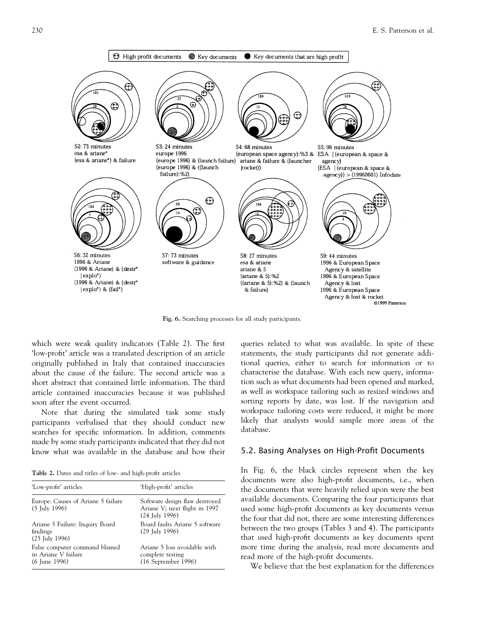

Fig. 6. Searching processes for all study participants.

which were weak quality indicators (Table 2). The first 'low-profit' article was a translated description of an article originally published in Italy that contained inaccuracies about the cause of the failure. The second article was a short abstract that contained little information. The third article contained inaccuracies because it was published soon after the event occurred.

Note that during the simulated task some study participants verbalised that they should conduct new searches for specific information. In addition, comments made by some study participants indicated that they did not know what was available in the database and how their

Table 2. Dates and titles of low- and high-profit articles

| 'Low-profit' articles                                                    | 'High-profit' articles                                                                       |
|--------------------------------------------------------------------------|----------------------------------------------------------------------------------------------|
| Europe: Causes of Ariane 5 failure<br>$(5 \text{ July } 1996)$           | Software design flaw destroyed<br>Ariane V; next flight in 1997<br>$(24 \text{ July } 1996)$ |
| Ariane 5 Failure: Inquiry Board<br>findings<br>$(25 \text{ July } 1996)$ | Board faults Ariane 5 software<br>$(29 \text{ July } 1996)$                                  |
| False computer command blamed<br>in Ariane V failure<br>(6 June 1996)    | Ariane 5 loss avoidable with<br>complete testing<br>(16 September 1996)                      |

queries related to what was available. In spite of these statements, the study participants did not generate additional queries, either to search for information or to characterise the database. With each new query, information such as what documents had been opened and marked, as well as workspace tailoring such as resized windows and sorting reports by date, was lost. If the navigation and workspace tailoring costs were reduced, it might be more likely that analysts would sample more areas of the database.

## 5.2. Basing Analyses on High-Profit Documents

In Fig. 6, the black circles represent when the key documents were also high-profit documents, i.e., when the documents that were heavily relied upon were the best available documents. Comparing the four participants that used some high-profit documents as key documents versus the four that did not, there are some interesting differences between the two groups (Tables 3 and 4). The participants that used high-profit documents as key documents spent more time during the analysis, read more documents and read more of the high-profit documents.

We believe that the best explanation for the differences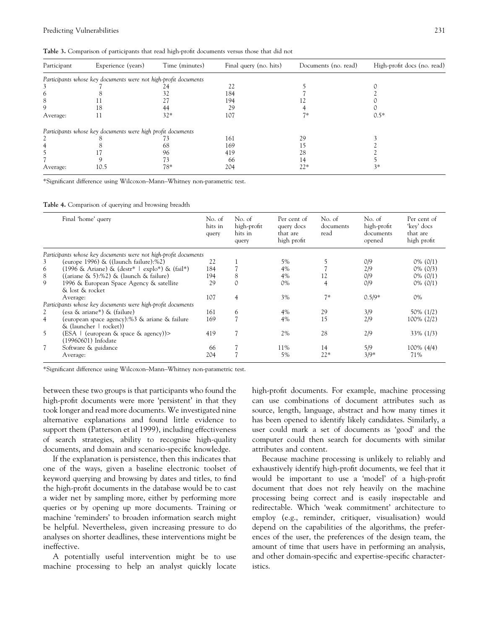#### Predicting Vulnerabilities 231

| Participant | Experience (years)                                              | Time (minutes) | Final query (no. hits) | Documents (no. read) | High-profit docs (no. read) |
|-------------|-----------------------------------------------------------------|----------------|------------------------|----------------------|-----------------------------|
|             | Participants whose key documents were not high-profit documents |                |                        |                      |                             |
|             |                                                                 |                |                        |                      |                             |
|             |                                                                 |                | 184                    |                      |                             |
|             |                                                                 |                | 194                    |                      |                             |
|             | 18                                                              | 44             | 29                     |                      |                             |
| Average:    | 11                                                              | $32*$          | 107                    | 7*                   | $0.5*$                      |
|             | Participants whose key documents were high profit documents     |                |                        |                      |                             |
|             |                                                                 |                | 161                    | 29                   |                             |
|             |                                                                 | 68             | 169                    |                      |                             |
|             |                                                                 | 96             | 419                    | 28                   |                             |
|             |                                                                 |                | 66                     | 14                   |                             |
| Average:    | 10.5                                                            | 78*            | 204                    | $22*$                | $3*$                        |

Table 3. Comparison of participants that read high-profit documents versus those that did not

\*Significant difference using Wilcoxon–Mann–Whitney non-parametric test.

Table 4. Comparison of querying and browsing breadth

|   | Final 'home' query                                                      | No. of<br>hits in<br>query | No. of<br>high-profit<br>hits in<br>query | Per cent of<br>query docs<br>that are<br>high profit | No. of<br>documents<br>read | No. of<br>high-profit<br>documents<br>opened | Per cent of<br>'key' docs<br>that are<br>high profit |
|---|-------------------------------------------------------------------------|----------------------------|-------------------------------------------|------------------------------------------------------|-----------------------------|----------------------------------------------|------------------------------------------------------|
|   | Participants whose key documents were not high-profit documents         |                            |                                           |                                                      |                             |                                              |                                                      |
| 3 | (europe 1996) & ((launch failure):%2)                                   | 22                         |                                           | 5%                                                   |                             | O/9                                          | $0\%$ (0/1)                                          |
| 6 | (1996 & Ariane) & (destr*   explo*) & (fail*)                           | 184                        |                                           | 4%                                                   |                             | 2/9                                          | $0\%$ (0/3)                                          |
| 8 | $((\text{ariance } \& 5): \% 2) \& (\text{la } (\& \text{failure}))$    | 194                        | 8                                         | 4%                                                   |                             | O/9                                          | $0\%$ (0/1)                                          |
| 9 | 1996 & European Space Agency & satellite                                | 29                         | 0                                         | $0\%$                                                |                             | O/9                                          | $0\%$ (0/1)                                          |
|   | & lost & rocket                                                         |                            |                                           |                                                      |                             |                                              |                                                      |
|   | Average:                                                                | 107                        | 4                                         | 3%                                                   | $7*$                        | $0.5/9*$                                     | $0\%$                                                |
|   | Participants whose key documents were high-profit documents             |                            |                                           |                                                      |                             |                                              |                                                      |
| 2 | (esa & ariane*) & (failure)                                             | 161                        | 6                                         | 4%                                                   | 29                          | 3/9                                          | 50% (1/2)                                            |
| 4 | (european space agency):%3 & ariane & failure<br>& (launcher   rocket)) | 169                        |                                           | 4%                                                   | 15                          | 2/9                                          | 100% (2/2)                                           |
| 5 | $(ESA \mid (european \& space \& agency))$<br>(19960601) Infodate       | 419                        |                                           | 2%                                                   | 28                          | 2/9                                          | $33\%$ (1/3)                                         |
|   | Software & guidance                                                     | 66                         |                                           | 11%                                                  | 14                          | 5/9                                          | $100\%$ $(4/4)$                                      |
|   | Average:                                                                | 204                        |                                           | 5%                                                   | $22*$                       | $3/9*$                                       | 71%                                                  |

\*Significant difference using Wilcoxon–Mann–Whitney non-parametric test.

between these two groups is that participants who found the high-profit documents were more 'persistent' in that they took longer and read more documents. We investigated nine alternative explanations and found little evidence to support them (Patterson et al 1999), including effectiveness of search strategies, ability to recognise high-quality documents, and domain and scenario-specific knowledge.

If the explanation is persistence, then this indicates that one of the ways, given a baseline electronic toolset of keyword querying and browsing by dates and titles, to find the high-profit documents in the database would be to cast a wider net by sampling more, either by performing more queries or by opening up more documents. Training or machine 'reminders' to broaden information search might be helpful. Nevertheless, given increasing pressure to do analyses on shorter deadlines, these interventions might be ineffective.

A potentially useful intervention might be to use machine processing to help an analyst quickly locate

high-profit documents. For example, machine processing can use combinations of document attributes such as source, length, language, abstract and how many times it has been opened to identify likely candidates. Similarly, a user could mark a set of documents as 'good' and the computer could then search for documents with similar attributes and content.

Because machine processing is unlikely to reliably and exhaustively identify high-profit documents, we feel that it would be important to use a 'model' of a high-profit document that does not rely heavily on the machine processing being correct and is easily inspectable and redirectable. Which 'weak commitment' architecture to employ (e.g., reminder, critiquer, visualisation) would depend on the capabilities of the algorithms, the preferences of the user, the preferences of the design team, the amount of time that users have in performing an analysis, and other domain-specific and expertise-specific characteristics.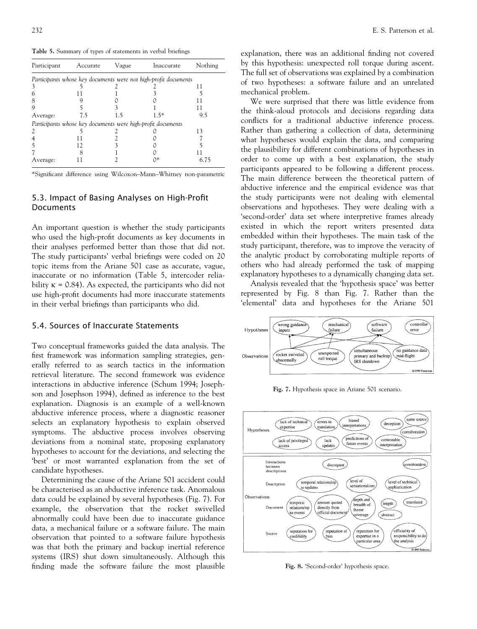Table 5. Summary of types of statements in verbal briefings

| Participant                                                     | Accurate | Vague | Inaccurate | Nothing |  |  |
|-----------------------------------------------------------------|----------|-------|------------|---------|--|--|
| Participants whose key documents were not high-profit documents |          |       |            |         |  |  |
|                                                                 |          |       |            |         |  |  |
|                                                                 |          |       |            |         |  |  |
|                                                                 |          |       |            |         |  |  |
|                                                                 |          |       |            |         |  |  |
| Average:                                                        | 7.5      | 1.5   | $1.5*$     | 9.5     |  |  |
| Participants whose key documents were high-profit documents     |          |       |            |         |  |  |
|                                                                 |          |       |            | 13      |  |  |
|                                                                 |          |       |            |         |  |  |
|                                                                 |          |       |            |         |  |  |
|                                                                 |          |       |            |         |  |  |
| Average:                                                        |          |       | ∩*         | 6.75    |  |  |

\*Significant difference using Wilcoxon–Mann–Whitney non-parametric

## 5.3. Impact of Basing Analyses on High-Profit Documents

An important question is whether the study participants who used the high-profit documents as key documents in their analyses performed better than those that did not. The study participants' verbal briefings were coded on 20 topic items from the Ariane 501 case as accurate, vague, inaccurate or no information (Table 5, intercoder reliability  $\kappa$  = 0.84). As expected, the participants who did not use high-profit documents had more inaccurate statements in their verbal briefings than participants who did.

## 5.4. Sources of Inaccurate Statements

Two conceptual frameworks guided the data analysis. The first framework was information sampling strategies, generally referred to as search tactics in the information retrieval literature. The second framework was evidence interactions in abductive inference (Schum 1994; Josephson and Josephson 1994), defined as inference to the best explanation. Diagnosis is an example of a well-known abductive inference process, where a diagnostic reasoner selects an explanatory hypothesis to explain observed symptoms. The abductive process involves observing deviations from a nominal state, proposing explanatory hypotheses to account for the deviations, and selecting the 'best' or most warranted explanation from the set of candidate hypotheses.

Determining the cause of the Ariane 501 accident could be characterised as an abductive inference task. Anomalous data could be explained by several hypotheses (Fig. 7). For example, the observation that the rocket swivelled abnormally could have been due to inaccurate guidance data, a mechanical failure or a software failure. The main observation that pointed to a software failure hypothesis was that both the primary and backup inertial reference systems (IRS) shut down simultaneously. Although this finding made the software failure the most plausible explanation, there was an additional finding not covered by this hypothesis: unexpected roll torque during ascent. The full set of observations was explained by a combination of two hypotheses: a software failure and an unrelated mechanical problem.

We were surprised that there was little evidence from the think-aloud protocols and decisions regarding data conflicts for a traditional abductive inference process. Rather than gathering a collection of data, determining what hypotheses would explain the data, and comparing the plausibility for different combinations of hypotheses in order to come up with a best explanation, the study participants appeared to be following a different process. The main difference between the theoretical pattern of abductive inference and the empirical evidence was that the study participants were not dealing with elemental observations and hypotheses. They were dealing with a 'second-order' data set where interpretive frames already existed in which the report writers presented data embedded within their hypotheses. The main task of the study participant, therefore, was to improve the veracity of the analytic product by corroborating multiple reports of others who had already performed the task of mapping explanatory hypotheses to a dynamically changing data set.

Analysis revealed that the 'hypothesis space' was better represented by Fig. 8 than Fig. 7. Rather than the 'elemental' data and hypotheses for the Ariane 501



Fig. 7. Hypothesis space in Ariane 501 scenario.



Fig. 8. 'Second-order' hypothesis space.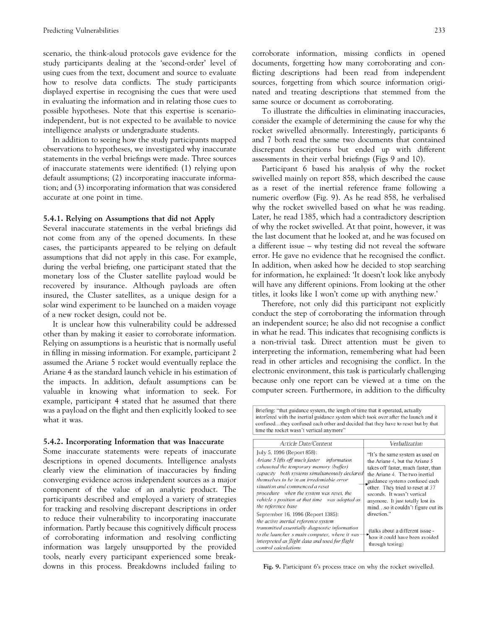scenario, the think-aloud protocols gave evidence for the study participants dealing at the 'second-order' level of using cues from the text, document and source to evaluate how to resolve data conflicts. The study participants displayed expertise in recognising the cues that were used in evaluating the information and in relating those cues to possible hypotheses. Note that this expertise is scenarioindependent, but is not expected to be available to novice intelligence analysts or undergraduate students.

In addition to seeing how the study participants mapped observations to hypotheses, we investigated why inaccurate statements in the verbal briefings were made. Three sources of inaccurate statements were identified: (1) relying upon default assumptions; (2) incorporating inaccurate information; and (3) incorporating information that was considered accurate at one point in time.

## 5.4.1. Relying on Assumptions that did not Apply

Several inaccurate statements in the verbal briefings did not come from any of the opened documents. In these cases, the participants appeared to be relying on default assumptions that did not apply in this case. For example, during the verbal briefing, one participant stated that the monetary loss of the Cluster satellite payload would be recovered by insurance. Although payloads are often insured, the Cluster satellites, as a unique design for a solar wind experiment to be launched on a maiden voyage of a new rocket design, could not be.

It is unclear how this vulnerability could be addressed other than by making it easier to corroborate information. Relying on assumptions is a heuristic that is normally useful in filling in missing information. For example, participant 2 assumed the Ariane 5 rocket would eventually replace the Ariane 4 as the standard launch vehicle in his estimation of the impacts. In addition, default assumptions can be valuable in knowing what information to seek. For example, participant 4 stated that he assumed that there was a payload on the flight and then explicitly looked to see what it was.

#### 5.4.2. Incorporating Information that was Inaccurate

Some inaccurate statements were repeats of inaccurate descriptions in opened documents. Intelligence analysts clearly view the elimination of inaccuracies by finding converging evidence across independent sources as a major component of the value of an analytic product. The participants described and employed a variety of strategies for tracking and resolving discrepant descriptions in order to reduce their vulnerability to incorporating inaccurate information. Partly because this cognitively difficult process of corroborating information and resolving conflicting information was largely unsupported by the provided tools, nearly every participant experienced some breakdowns in this process. Breakdowns included failing to corroborate information, missing conflicts in opened documents, forgetting how many corroborating and conflicting descriptions had been read from independent sources, forgetting from which source information originated and treating descriptions that stemmed from the same source or document as corroborating.

To illustrate the difficulties in eliminating inaccuracies, consider the example of determining the cause for why the rocket swivelled abnormally. Interestingly, participants 6 and 7 both read the same two documents that contained discrepant descriptions but ended up with different assessments in their verbal briefings (Figs 9 and 10).

Participant 6 based his analysis of why the rocket swivelled mainly on report 858, which described the cause as a reset of the inertial reference frame following a numeric overflow (Fig. 9). As he read 858, he verbalised why the rocket swivelled based on what he was reading. Later, he read 1385, which had a contradictory description of why the rocket swivelled. At that point, however, it was the last document that he looked at, and he was focused on a different issue – why testing did not reveal the software error. He gave no evidence that he recognised the conflict. In addition, when asked how he decided to stop searching for information, he explained: 'It doesn't look like anybody will have any different opinions. From looking at the other titles, it looks like I won't come up with anything new.'

Therefore, not only did this participant not explicitly conduct the step of corroborating the information through an independent source; he also did not recognise a conflict in what he read. This indicates that recognising conflicts is a non-trivial task. Direct attention must be given to interpreting the information, remembering what had been read in other articles and recognising the conflict. In the electronic environment, this task is particularly challenging because only one report can be viewed at a time on the computer screen. Furthermore, in addition to the difficulty

Briefing: "that guidance system, the length of time that it operated, actually interfered with the inertial guidance system which took over after the launch and it confused...they confused each other and decided that they have to reset but by that time the rocket wasn't vertical anymore"

| Article Date/Content                                                                                                                                                                                                                                                                                                                                                        | Verbalization                                                                                                                                                                                                                                                                                                              |
|-----------------------------------------------------------------------------------------------------------------------------------------------------------------------------------------------------------------------------------------------------------------------------------------------------------------------------------------------------------------------------|----------------------------------------------------------------------------------------------------------------------------------------------------------------------------------------------------------------------------------------------------------------------------------------------------------------------------|
| July 5, 1996 (Report 858):<br>Ariane 5 lifts off much faster<br>information<br>exhausted the temporary memory (buffer)<br>capacity both systems simultaneously declared<br>themselves to be in an irredemiable error<br>situation and commenced a reset<br>procedure when the system was reset, the<br>vehicle s position at that time was adopted as<br>the reference base | "It's the same system as used on<br>the Ariane 4, but the Ariane 5<br>takes off faster, much faster, than<br>the Ariane 4. The two inertial<br>guidance systems confused each<br>other. They tried to reset at 37<br>seconds. It wasn't vertical<br>anymore. It just totally lost its<br>mindso it couldn't figure out its |
| September 16, 1996 (Report 1385):<br>the active inertial reference system<br>transmitted essentially diagnostic information<br>to the launcher s main computer, where it was-<br>interpreted as flight data and used for flight<br>control calculations                                                                                                                     | direction."<br>(talks about a different issue -<br>how it could have been avoided<br>through testing)                                                                                                                                                                                                                      |

Fig. 9. Participant 6's process trace on why the rocket swivelled.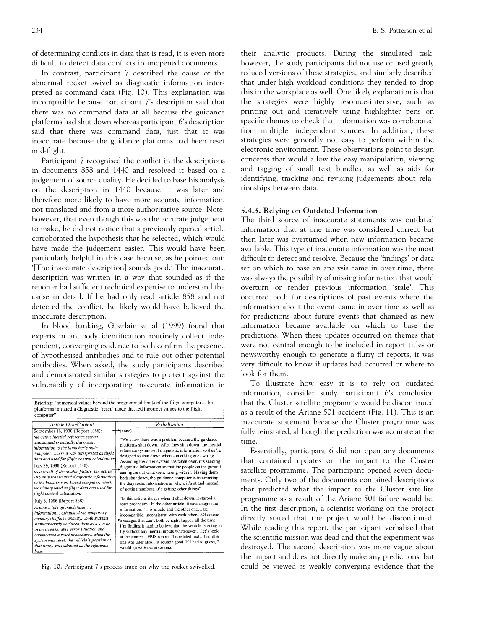of determining conflicts in data that is read, it is even more difficult to detect data conflicts in unopened documents.

In contrast, participant 7 described the cause of the abnormal rocket swivel as diagnostic information interpreted as command data (Fig. 10). This explanation was incompatible because participant 7's description said that there was no command data at all because the guidance platforms had shut down whereas participant 6's description said that there was command data, just that it was inaccurate because the guidance platforms had been reset mid-flight.

Participant 7 recognised the conflict in the descriptions in documents 858 and 1440 and resolved it based on a judgement of source quality. He decided to base his analysis on the description in 1440 because it was later and therefore more likely to have more accurate information, not translated and from a more authoritative source. Note, however, that even though this was the accurate judgement to make, he did not notice that a previously opened article corroborated the hypothesis that he selected, which would have made the judgement easier. This would have been particularly helpful in this case because, as he pointed out: '[The inaccurate description] sounds good.' The inaccurate description was written in a way that sounded as if the reporter had sufficient technical expertise to understand the cause in detail. If he had only read article 858 and not detected the conflict, he likely would have believed the inaccurate description.

In blood banking, Guerlain et al (1999) found that experts in antibody identification routinely collect independent, converging evidence to both confirm the presence of hypothesised antibodies and to rule out other potential antibodies. When asked, the study participants described and demonstrated similar strategies to protect against the vulnerability of incorporating inaccurate information in

Briefing: "numerical values beyond the programmed limits of the flight computer...the platforms initiated a diagnostic "reset" mode that fed incorrect values to the flight computer'

| Article Date/Content                                                                                                                                                                                  | Verbalization                                                                                                                                                                                            |
|-------------------------------------------------------------------------------------------------------------------------------------------------------------------------------------------------------|----------------------------------------------------------------------------------------------------------------------------------------------------------------------------------------------------------|
| September 16, 1996 (Report 1385):<br>the active inertial reference system<br>transmitted essentially diagnostic<br>information to the launcher's main<br>computer, where it was interpreted as flight | $\blacktriangleright$ (none)<br>"We know there was a problem because the guidance"<br>platforms shut down. After they shut down, the inertial<br>reference system sent diagnostic information so they're |
| data and used for flight control calculations                                                                                                                                                         | designed to shut down when something goes wrong.                                                                                                                                                         |
| July 29, 1996 (Report 1440):                                                                                                                                                                          | Assuming the other system has taken over, it's sending                                                                                                                                                   |
| as a result of the double failure, the active                                                                                                                                                         | diagnostic information so that the people on the ground                                                                                                                                                  |
| IRS only transmitted diagnostic information                                                                                                                                                           | can figure out what went wrong with it. Having them                                                                                                                                                      |
| to the booster's on-board computer, which                                                                                                                                                             | both shut down, the guidance computer is interpreting                                                                                                                                                    |
| was interpreted as flight data and used for                                                                                                                                                           | the diagnostic information as where it's at and instead                                                                                                                                                  |
| flight control calculations                                                                                                                                                                           | of getting numbers, it's getting other things"                                                                                                                                                           |
| July 5, 1996 (Report 858):                                                                                                                                                                            | "In this article, it says when it shut down, it started a                                                                                                                                                |
| Ariane 5 lifts off much faster                                                                                                                                                                        | reset procedure. In the other article, it says diagnostic                                                                                                                                                |
| information exhausted the temporary                                                                                                                                                                   | information. This article and the other oneare                                                                                                                                                           |
| memory (buffer) capacityboth systems                                                                                                                                                                  | incompatible, inconsistent with each otherOf course                                                                                                                                                      |
| simultaneously declared themselves to be                                                                                                                                                              | messages that can't both be right happen all the time.                                                                                                                                                   |
| in an irredemiable error situation and                                                                                                                                                                | I'm finding it hard to believe that the vehicle is going to                                                                                                                                              |
| commenced a reset procedurewhen the                                                                                                                                                                   | fly without any inertial inputs whatsoever  let's look                                                                                                                                                   |
| system was reset, the vehicle's position at                                                                                                                                                           | at the sourceFBIS report. Translated textthe other                                                                                                                                                       |
| that timewas adopted as the reference                                                                                                                                                                 | one was later alsoit sounds good. If I had to guess, I                                                                                                                                                   |
| base                                                                                                                                                                                                  | would go with the other one.                                                                                                                                                                             |

their analytic products. During the simulated task, however, the study participants did not use or used greatly reduced versions of these strategies, and similarly described that under high workload conditions they tended to drop this in the workplace as well. One likely explanation is that the strategies were highly resource-intensive, such as printing out and iteratively using highlighter pens on specific themes to check that information was corroborated from multiple, independent sources. In addition, these strategies were generally not easy to perform within the electronic environment. These observations point to design concepts that would allow the easy manipulation, viewing and tagging of small text bundles, as well as aids for identifying, tracking and revising judgements about relationships between data.

## 5.4.3. Relying on Outdated Information

The third source of inaccurate statements was outdated information that at one time was considered correct but then later was overturned when new information became available. This type of inaccurate information was the most difficult to detect and resolve. Because the 'findings' or data set on which to base an analysis came in over time, there was always the possibility of missing information that would overturn or render previous information 'stale'. This occurred both for descriptions of past events where the information about the event came in over time as well as for predictions about future events that changed as new information became available on which to base the predictions. When these updates occurred on themes that were not central enough to be included in report titles or newsworthy enough to generate a flurry of reports, it was very difficult to know if updates had occurred or where to look for them.

To illustrate how easy it is to rely on outdated information, consider study participant 6's conclusion that the Cluster satellite programme would be discontinued as a result of the Ariane 501 accident (Fig. 11). This is an inaccurate statement because the Cluster programme was fully reinstated, although the prediction was accurate at the time.

Essentially, participant 6 did not open any documents that contained updates on the impact to the Cluster satellite programme. The participant opened seven documents. Only two of the documents contained descriptions that predicted what the impact to the Cluster satellite programme as a result of the Ariane 501 failure would be. In the first description, a scientist working on the project directly stated that the project would be discontinued. While reading this report, the participant verbalised that the scientific mission was dead and that the experiment was destroyed. The second description was more vague about the impact and does not directly make any predictions, but Fig. 10. Participant 7's process trace on why the rocket swivelled. could be viewed as weakly converging evidence that the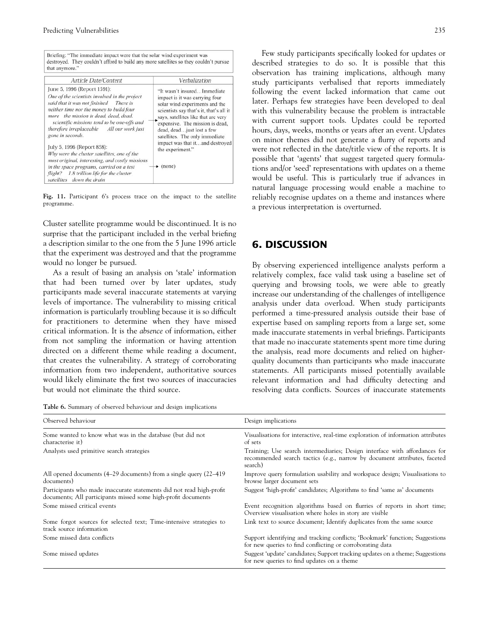satellites down the drain

Briefing: "The immediate impact were that the solar wind experiment was destroyed. They couldn't afford to build any more satellites so they couldn't pursue that anymore. Article Date/Content Verbalization June 5, 1996 (Report 1591): "It wasn't insured...Immediate One of the scientists involved in the project impact is it was carrying four said that it was not finished There is solar wind experiments and the neither time nor the money to build four scientists say that's it, that's all it more the mission is dead, dead, dead. says, satellites like that are very scientific missions tend to be one-offs and expensive. The mission is dead, therefore irreplaceable All our work just dead, dead...just lost a few gone in seconds. satellites. The only immediate impact was that it...and destroyed July 5, 1996 (Report 858): the experiment." Why were the cluster satellites, one of the most original, interesting, and costly missions  $\bullet$  (none) in the space programs, carried on a test flight? 1.8 trillion life for the cluster

Fig. 11. Participant 6's process trace on the impact to the satellite programme.

Cluster satellite programme would be discontinued. It is no surprise that the participant included in the verbal briefing a description similar to the one from the 5 June 1996 article that the experiment was destroyed and that the programme would no longer be pursued.

As a result of basing an analysis on 'stale' information that had been turned over by later updates, study participants made several inaccurate statements at varying levels of importance. The vulnerability to missing critical information is particularly troubling because it is so difficult for practitioners to determine when they have missed critical information. It is the absence of information, either from not sampling the information or having attention directed on a different theme while reading a document, that creates the vulnerability. A strategy of corroborating information from two independent, authoritative sources would likely eliminate the first two sources of inaccuracies but would not eliminate the third source.

Table 6. Summary of observed behaviour and design implications

Few study participants specifically looked for updates or described strategies to do so. It is possible that this observation has training implications, although many study participants verbalised that reports immediately following the event lacked information that came out later. Perhaps few strategies have been developed to deal with this vulnerability because the problem is intractable with current support tools. Updates could be reported hours, days, weeks, months or years after an event. Updates on minor themes did not generate a flurry of reports and were not reflected in the date/title view of the reports. It is possible that 'agents' that suggest targeted query formulations and/or 'seed' representations with updates on a theme would be useful. This is particularly true if advances in natural language processing would enable a machine to reliably recognise updates on a theme and instances where

## 6. DISCUSSION

a previous interpretation is overturned.

By observing experienced intelligence analysts perform a relatively complex, face valid task using a baseline set of querying and browsing tools, we were able to greatly increase our understanding of the challenges of intelligence analysis under data overload. When study participants performed a time-pressured analysis outside their base of expertise based on sampling reports from a large set, some made inaccurate statements in verbal briefings. Participants that made no inaccurate statements spent more time during the analysis, read more documents and relied on higherquality documents than participants who made inaccurate statements. All participants missed potentially available relevant information and had difficulty detecting and resolving data conflicts. Sources of inaccurate statements

| Observed behaviour                                                                                                                    | Design implications                                                                                                                                               |
|---------------------------------------------------------------------------------------------------------------------------------------|-------------------------------------------------------------------------------------------------------------------------------------------------------------------|
| Some wanted to know what was in the database (but did not<br>characterise it)                                                         | Visualisations for interactive, real-time exploration of information attributes<br>of sets                                                                        |
| Analysts used primitive search strategies                                                                                             | Training; Use search intermediaries; Design interface with affordances for<br>recommended search tactics (e.g., narrow by document attributes, faceted<br>search) |
| All opened documents (4–29 documents) from a single query (22–419<br>documents)                                                       | Improve query formulation usability and workspace design; Visualisations to<br>browse larger document sets                                                        |
| Participants who made inaccurate statements did not read high-profit<br>documents; All participants missed some high-profit documents | Suggest 'high-profit' candidates; Algorithms to find 'same as' documents                                                                                          |
| Some missed critical events                                                                                                           | Event recognition algorithms based on flurries of reports in short time;<br>Overview visualisation where holes in story are visible                               |
| Some forgot sources for selected text; Time-intensive strategies to<br>track source information                                       | Link text to source document; Identify duplicates from the same source                                                                                            |
| Some missed data conflicts                                                                                                            | Support identifying and tracking conflicts; 'Bookmark' function; Suggestions<br>for new queries to find conflicting or corroborating data                         |
| Some missed updates                                                                                                                   | Suggest 'update' candidates; Support tracking updates on a theme; Suggestions<br>for new queries to find updates on a theme                                       |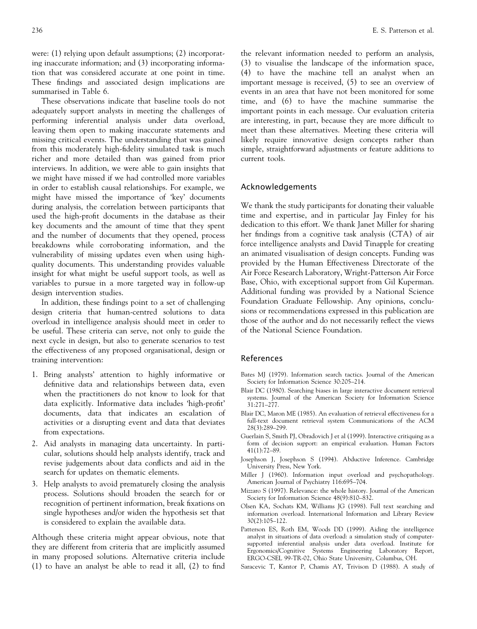were: (1) relying upon default assumptions; (2) incorporating inaccurate information; and (3) incorporating information that was considered accurate at one point in time. These findings and associated design implications are summarised in Table 6.

These observations indicate that baseline tools do not adequately support analysts in meeting the challenges of performing inferential analysis under data overload, leaving them open to making inaccurate statements and missing critical events. The understanding that was gained from this moderately high-fidelity simulated task is much richer and more detailed than was gained from prior interviews. In addition, we were able to gain insights that we might have missed if we had controlled more variables in order to establish causal relationships. For example, we might have missed the importance of 'key' documents during analysis, the correlation between participants that used the high-profit documents in the database as their key documents and the amount of time that they spent and the number of documents that they opened, process breakdowns while corroborating information, and the vulnerability of missing updates even when using highquality documents. This understanding provides valuable insight for what might be useful support tools, as well as variables to pursue in a more targeted way in follow-up design intervention studies.

In addition, these findings point to a set of challenging design criteria that human-centred solutions to data overload in intelligence analysis should meet in order to be useful. These criteria can serve, not only to guide the next cycle in design, but also to generate scenarios to test the effectiveness of any proposed organisational, design or training intervention:

- 1. Bring analysts' attention to highly informative or definitive data and relationships between data, even when the practitioners do not know to look for that data explicitly. Informative data includes 'high-profit' documents, data that indicates an escalation of activities or a disrupting event and data that deviates from expectations.
- 2. Aid analysts in managing data uncertainty. In particular, solutions should help analysts identify, track and revise judgements about data conflicts and aid in the search for updates on thematic elements.
- 3. Help analysts to avoid prematurely closing the analysis process. Solutions should broaden the search for or recognition of pertinent information, break fixations on single hypotheses and/or widen the hypothesis set that is considered to explain the available data.

Although these criteria might appear obvious, note that they are different from criteria that are implicitly assumed in many proposed solutions. Alternative criteria include (1) to have an analyst be able to read it all, (2) to find the relevant information needed to perform an analysis, (3) to visualise the landscape of the information space, (4) to have the machine tell an analyst when an important message is received, (5) to see an overview of events in an area that have not been monitored for some time, and (6) to have the machine summarise the important points in each message. Our evaluation criteria are interesting, in part, because they are more difficult to meet than these alternatives. Meeting these criteria will likely require innovative design concepts rather than simple, straightforward adjustments or feature additions to current tools.

## Acknowledgements

We thank the study participants for donating their valuable time and expertise, and in particular Jay Finley for his dedication to this effort. We thank Janet Miller for sharing her findings from a cognitive task analysis (CTA) of air force intelligence analysts and David Tinapple for creating an animated visualisation of design concepts. Funding was provided by the Human Effectiveness Directorate of the Air Force Research Laboratory, Wright-Patterson Air Force Base, Ohio, with exceptional support from Gil Kuperman. Additional funding was provided by a National Science Foundation Graduate Fellowship. Any opinions, conclusions or recommendations expressed in this publication are those of the author and do not necessarily reflect the views of the National Science Foundation.

## References

- Bates MJ (1979). Information search tactics. Journal of the American Society for Information Science 30:205–214.
- Blair DC (1980). Searching biases in large interactive document retrieval systems. Journal of the American Society for Information Science 31:271–277.
- Blair DC, Maron ME (1985). An evaluation of retrieval effectiveness for a full-text document retrieval system Communications of the ACM 28(3):289–299.
- Guerlain S, Smith PJ, Obradovich J et al (1999). Interactive critiquing as a form of decision support: an empirical evaluation. Human Factors 41(1):72–89.
- Josephson J, Josephson S (1994). Abductive Inference. Cambridge University Press, New York.
- Miller J (1960). Information input overload and psychopathology. American Journal of Psychiatry 116:695–704.
- Mizzaro S (1997). Relevance: the whole history. Journal of the American Society for Information Science 48(9):810–832.
- Olsen KA, Sochats KM, Williams JG (1998). Full text searching and information overload. International Information and Library Review 30(2):105–122.
- Patterson ES, Roth EM, Woods DD (1999). Aiding the intelligence analyst in situations of data overload: a simulation study of computersupported inferential analysis under data overload. Institute for Ergonomics/Cognitive Systems Engineering Laboratory Report, ERGO-CSEL 99-TR-02, Ohio State University, Columbus, OH.
- Saracevic T, Kantor P, Chamis AY, Trivison D (1988). A study of